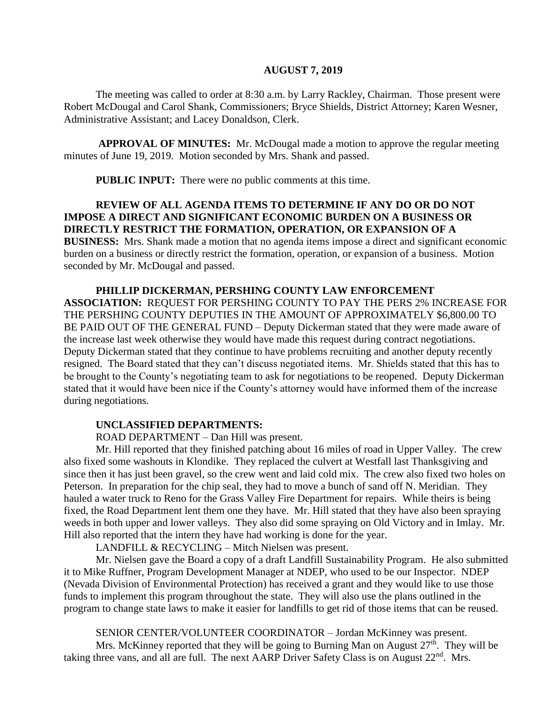#### **AUGUST 7, 2019**

The meeting was called to order at 8:30 a.m. by Larry Rackley, Chairman. Those present were Robert McDougal and Carol Shank, Commissioners; Bryce Shields, District Attorney; Karen Wesner, Administrative Assistant; and Lacey Donaldson, Clerk.

**APPROVAL OF MINUTES:** Mr. McDougal made a motion to approve the regular meeting minutes of June 19, 2019. Motion seconded by Mrs. Shank and passed.

 **PUBLIC INPUT:** There were no public comments at this time.

## **REVIEW OF ALL AGENDA ITEMS TO DETERMINE IF ANY DO OR DO NOT IMPOSE A DIRECT AND SIGNIFICANT ECONOMIC BURDEN ON A BUSINESS OR DIRECTLY RESTRICT THE FORMATION, OPERATION, OR EXPANSION OF A**

**BUSINESS:** Mrs. Shank made a motion that no agenda items impose a direct and significant economic burden on a business or directly restrict the formation, operation, or expansion of a business. Motion seconded by Mr. McDougal and passed.

## **PHILLIP DICKERMAN, PERSHING COUNTY LAW ENFORCEMENT ASSOCIATION:** REQUEST FOR PERSHING COUNTY TO PAY THE PERS 2% INCREASE FOR THE PERSHING COUNTY DEPUTIES IN THE AMOUNT OF APPROXIMATELY \$6,800.00 TO BE PAID OUT OF THE GENERAL FUND – Deputy Dickerman stated that they were made aware of the increase last week otherwise they would have made this request during contract negotiations. Deputy Dickerman stated that they continue to have problems recruiting and another deputy recently resigned. The Board stated that they can't discuss negotiated items. Mr. Shields stated that this has to be brought to the County's negotiating team to ask for negotiations to be reopened. Deputy Dickerman stated that it would have been nice if the County's attorney would have informed them of the increase

# during negotiations.

## **UNCLASSIFIED DEPARTMENTS:**

ROAD DEPARTMENT – Dan Hill was present.

Mr. Hill reported that they finished patching about 16 miles of road in Upper Valley. The crew also fixed some washouts in Klondike. They replaced the culvert at Westfall last Thanksgiving and since then it has just been gravel, so the crew went and laid cold mix. The crew also fixed two holes on Peterson. In preparation for the chip seal, they had to move a bunch of sand off N. Meridian. They hauled a water truck to Reno for the Grass Valley Fire Department for repairs. While theirs is being fixed, the Road Department lent them one they have. Mr. Hill stated that they have also been spraying weeds in both upper and lower valleys. They also did some spraying on Old Victory and in Imlay. Mr. Hill also reported that the intern they have had working is done for the year.

LANDFILL & RECYCLING – Mitch Nielsen was present.

Mr. Nielsen gave the Board a copy of a draft Landfill Sustainability Program. He also submitted it to Mike Ruffner, Program Development Manager at NDEP, who used to be our Inspector. NDEP (Nevada Division of Environmental Protection) has received a grant and they would like to use those funds to implement this program throughout the state. They will also use the plans outlined in the program to change state laws to make it easier for landfills to get rid of those items that can be reused.

SENIOR CENTER/VOLUNTEER COORDINATOR – Jordan McKinney was present. Mrs. McKinney reported that they will be going to Burning Man on August  $27<sup>th</sup>$ . They will be taking three vans, and all are full. The next AARP Driver Safety Class is on August 22<sup>nd</sup>. Mrs.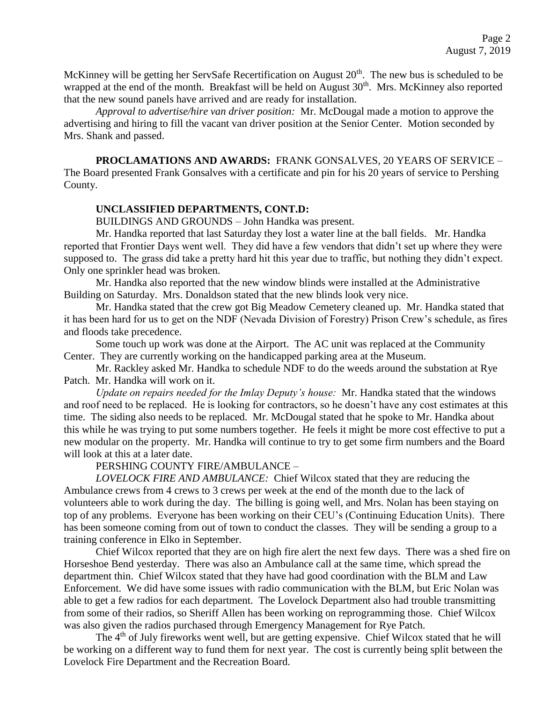McKinney will be getting her ServSafe Recertification on August  $20<sup>th</sup>$ . The new bus is scheduled to be wrapped at the end of the month. Breakfast will be held on August 30<sup>th</sup>. Mrs. McKinney also reported that the new sound panels have arrived and are ready for installation.

*Approval to advertise/hire van driver position:* Mr. McDougal made a motion to approve the advertising and hiring to fill the vacant van driver position at the Senior Center. Motion seconded by Mrs. Shank and passed.

**PROCLAMATIONS AND AWARDS:** FRANK GONSALVES, 20 YEARS OF SERVICE – The Board presented Frank Gonsalves with a certificate and pin for his 20 years of service to Pershing County.

### **UNCLASSIFIED DEPARTMENTS, CONT.D:**

BUILDINGS AND GROUNDS – John Handka was present.

Mr. Handka reported that last Saturday they lost a water line at the ball fields. Mr. Handka reported that Frontier Days went well. They did have a few vendors that didn't set up where they were supposed to. The grass did take a pretty hard hit this year due to traffic, but nothing they didn't expect. Only one sprinkler head was broken.

Mr. Handka also reported that the new window blinds were installed at the Administrative Building on Saturday. Mrs. Donaldson stated that the new blinds look very nice.

Mr. Handka stated that the crew got Big Meadow Cemetery cleaned up. Mr. Handka stated that it has been hard for us to get on the NDF (Nevada Division of Forestry) Prison Crew's schedule, as fires and floods take precedence.

Some touch up work was done at the Airport. The AC unit was replaced at the Community Center. They are currently working on the handicapped parking area at the Museum.

Mr. Rackley asked Mr. Handka to schedule NDF to do the weeds around the substation at Rye Patch. Mr. Handka will work on it.

*Update on repairs needed for the Imlay Deputy's house:* Mr. Handka stated that the windows and roof need to be replaced. He is looking for contractors, so he doesn't have any cost estimates at this time. The siding also needs to be replaced. Mr. McDougal stated that he spoke to Mr. Handka about this while he was trying to put some numbers together. He feels it might be more cost effective to put a new modular on the property. Mr. Handka will continue to try to get some firm numbers and the Board will look at this at a later date.

PERSHING COUNTY FIRE/AMBULANCE –

*LOVELOCK FIRE AND AMBULANCE:* Chief Wilcox stated that they are reducing the Ambulance crews from 4 crews to 3 crews per week at the end of the month due to the lack of volunteers able to work during the day. The billing is going well, and Mrs. Nolan has been staying on top of any problems. Everyone has been working on their CEU's (Continuing Education Units). There has been someone coming from out of town to conduct the classes. They will be sending a group to a training conference in Elko in September.

Chief Wilcox reported that they are on high fire alert the next few days. There was a shed fire on Horseshoe Bend yesterday. There was also an Ambulance call at the same time, which spread the department thin. Chief Wilcox stated that they have had good coordination with the BLM and Law Enforcement. We did have some issues with radio communication with the BLM, but Eric Nolan was able to get a few radios for each department. The Lovelock Department also had trouble transmitting from some of their radios, so Sheriff Allen has been working on reprogramming those. Chief Wilcox was also given the radios purchased through Emergency Management for Rye Patch.

The 4<sup>th</sup> of July fireworks went well, but are getting expensive. Chief Wilcox stated that he will be working on a different way to fund them for next year. The cost is currently being split between the Lovelock Fire Department and the Recreation Board.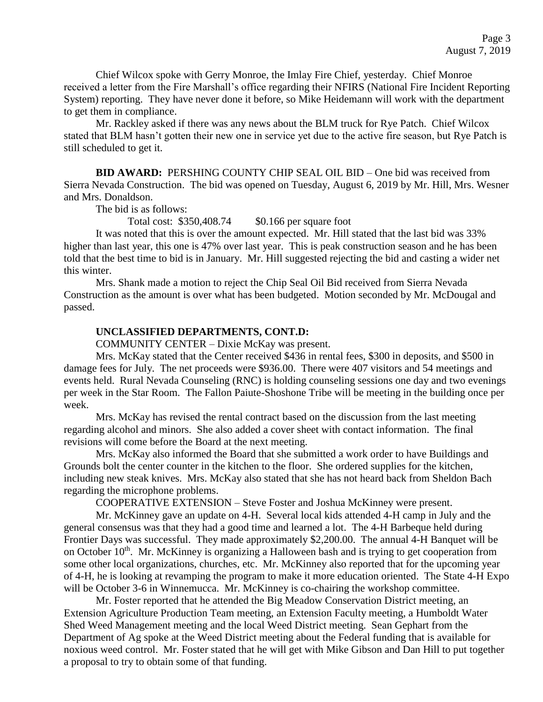Chief Wilcox spoke with Gerry Monroe, the Imlay Fire Chief, yesterday. Chief Monroe received a letter from the Fire Marshall's office regarding their NFIRS (National Fire Incident Reporting System) reporting. They have never done it before, so Mike Heidemann will work with the department to get them in compliance.

Mr. Rackley asked if there was any news about the BLM truck for Rye Patch. Chief Wilcox stated that BLM hasn't gotten their new one in service yet due to the active fire season, but Rye Patch is still scheduled to get it.

**BID AWARD:** PERSHING COUNTY CHIP SEAL OIL BID – One bid was received from Sierra Nevada Construction. The bid was opened on Tuesday, August 6, 2019 by Mr. Hill, Mrs. Wesner and Mrs. Donaldson.

The bid is as follows:

Total cost: \$350,408.74 \$0.166 per square foot

It was noted that this is over the amount expected. Mr. Hill stated that the last bid was 33% higher than last year, this one is 47% over last year. This is peak construction season and he has been told that the best time to bid is in January. Mr. Hill suggested rejecting the bid and casting a wider net this winter.

Mrs. Shank made a motion to reject the Chip Seal Oil Bid received from Sierra Nevada Construction as the amount is over what has been budgeted. Motion seconded by Mr. McDougal and passed.

#### **UNCLASSIFIED DEPARTMENTS, CONT.D:**

COMMUNITY CENTER – Dixie McKay was present.

Mrs. McKay stated that the Center received \$436 in rental fees, \$300 in deposits, and \$500 in damage fees for July. The net proceeds were \$936.00. There were 407 visitors and 54 meetings and events held. Rural Nevada Counseling (RNC) is holding counseling sessions one day and two evenings per week in the Star Room. The Fallon Paiute-Shoshone Tribe will be meeting in the building once per week.

Mrs. McKay has revised the rental contract based on the discussion from the last meeting regarding alcohol and minors. She also added a cover sheet with contact information. The final revisions will come before the Board at the next meeting.

Mrs. McKay also informed the Board that she submitted a work order to have Buildings and Grounds bolt the center counter in the kitchen to the floor. She ordered supplies for the kitchen, including new steak knives. Mrs. McKay also stated that she has not heard back from Sheldon Bach regarding the microphone problems.

COOPERATIVE EXTENSION – Steve Foster and Joshua McKinney were present.

Mr. McKinney gave an update on 4-H. Several local kids attended 4-H camp in July and the general consensus was that they had a good time and learned a lot. The 4-H Barbeque held during Frontier Days was successful. They made approximately \$2,200.00. The annual 4-H Banquet will be on October  $10<sup>th</sup>$ . Mr. McKinney is organizing a Halloween bash and is trying to get cooperation from some other local organizations, churches, etc. Mr. McKinney also reported that for the upcoming year of 4-H, he is looking at revamping the program to make it more education oriented. The State 4-H Expo will be October 3-6 in Winnemucca. Mr. McKinney is co-chairing the workshop committee.

Mr. Foster reported that he attended the Big Meadow Conservation District meeting, an Extension Agriculture Production Team meeting, an Extension Faculty meeting, a Humboldt Water Shed Weed Management meeting and the local Weed District meeting. Sean Gephart from the Department of Ag spoke at the Weed District meeting about the Federal funding that is available for noxious weed control. Mr. Foster stated that he will get with Mike Gibson and Dan Hill to put together a proposal to try to obtain some of that funding.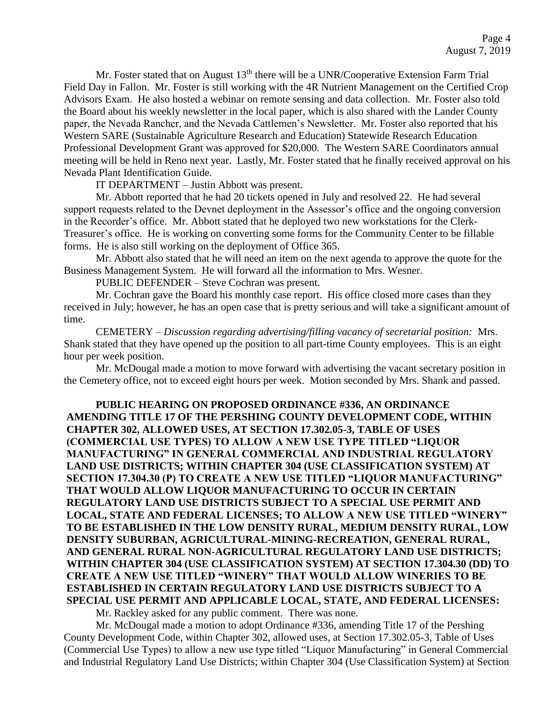Mr. Foster stated that on August  $13<sup>th</sup>$  there will be a UNR/Cooperative Extension Farm Trial Field Day in Fallon. Mr. Foster is still working with the 4R Nutrient Management on the Certified Crop Advisors Exam. He also hosted a webinar on remote sensing and data collection. Mr. Foster also told the Board about his weekly newsletter in the local paper, which is also shared with the Lander County paper, the Nevada Rancher, and the Nevada Cattlemen's Newsletter. Mr. Foster also reported that his Western SARE (Sustainable Agriculture Research and Education) Statewide Research Education Professional Development Grant was approved for \$20,000. The Western SARE Coordinators annual meeting will be held in Reno next year. Lastly, Mr. Foster stated that he finally received approval on his Nevada Plant Identification Guide.

IT DEPARTMENT – Justin Abbott was present.

Mr. Abbott reported that he had 20 tickets opened in July and resolved 22. He had several support requests related to the Devnet deployment in the Assessor's office and the ongoing conversion in the Recorder's office. Mr. Abbott stated that he deployed two new workstations for the Clerk-Treasurer's office. He is working on converting some forms for the Community Center to be fillable forms. He is also still working on the deployment of Office 365.

Mr. Abbott also stated that he will need an item on the next agenda to approve the quote for the Business Management System. He will forward all the information to Mrs. Wesner.

PUBLIC DEFENDER – Steve Cochran was present.

Mr. Cochran gave the Board his monthly case report. His office closed more cases than they received in July; however, he has an open case that is pretty serious and will take a significant amount of time.

CEMETERY – *Discussion regarding advertising/filling vacancy of secretarial position:* Mrs. Shank stated that they have opened up the position to all part-time County employees. This is an eight hour per week position.

Mr. McDougal made a motion to move forward with advertising the vacant secretary position in the Cemetery office, not to exceed eight hours per week. Motion seconded by Mrs. Shank and passed.

**PUBLIC HEARING ON PROPOSED ORDINANCE #336, AN ORDINANCE AMENDING TITLE 17 OF THE PERSHING COUNTY DEVELOPMENT CODE, WITHIN CHAPTER 302, ALLOWED USES, AT SECTION 17.302.05-3, TABLE OF USES (COMMERCIAL USE TYPES) TO ALLOW A NEW USE TYPE TITLED "LIQUOR MANUFACTURING" IN GENERAL COMMERCIAL AND INDUSTRIAL REGULATORY LAND USE DISTRICTS; WITHIN CHAPTER 304 (USE CLASSIFICATION SYSTEM) AT SECTION 17.304.30 (P) TO CREATE A NEW USE TITLED "LIQUOR MANUFACTURING" THAT WOULD ALLOW LIQUOR MANUFACTURING TO OCCUR IN CERTAIN REGULATORY LAND USE DISTRICTS SUBJECT TO A SPECIAL USE PERMIT AND LOCAL, STATE AND FEDERAL LICENSES; TO ALLOW A NEW USE TITLED "WINERY" TO BE ESTABLISHED IN THE LOW DENSITY RURAL, MEDIUM DENSITY RURAL, LOW DENSITY SUBURBAN, AGRICULTURAL-MINING-RECREATION, GENERAL RURAL, AND GENERAL RURAL NON-AGRICULTURAL REGULATORY LAND USE DISTRICTS; WITHIN CHAPTER 304 (USE CLASSIFICATION SYSTEM) AT SECTION 17.304.30 (DD) TO CREATE A NEW USE TITLED "WINERY" THAT WOULD ALLOW WINERIES TO BE ESTABLISHED IN CERTAIN REGULATORY LAND USE DISTRICTS SUBJECT TO A SPECIAL USE PERMIT AND APPLICABLE LOCAL, STATE, AND FEDERAL LICENSES:**

Mr. Rackley asked for any public comment. There was none.

Mr. McDougal made a motion to adopt Ordinance #336, amending Title 17 of the Pershing County Development Code, within Chapter 302, allowed uses, at Section 17.302.05-3, Table of Uses (Commercial Use Types) to allow a new use type titled "Liquor Manufacturing" in General Commercial and Industrial Regulatory Land Use Districts; within Chapter 304 (Use Classification System) at Section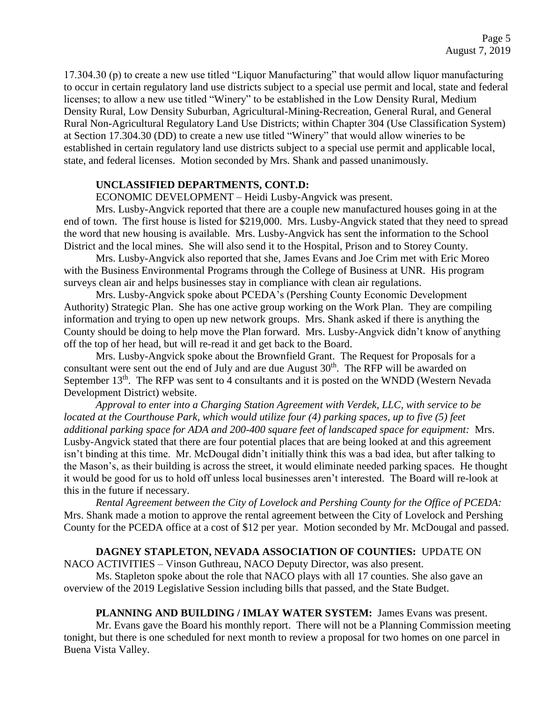17.304.30 (p) to create a new use titled "Liquor Manufacturing" that would allow liquor manufacturing to occur in certain regulatory land use districts subject to a special use permit and local, state and federal licenses; to allow a new use titled "Winery" to be established in the Low Density Rural, Medium Density Rural, Low Density Suburban, Agricultural-Mining-Recreation, General Rural, and General Rural Non-Agricultural Regulatory Land Use Districts; within Chapter 304 (Use Classification System) at Section 17.304.30 (DD) to create a new use titled "Winery" that would allow wineries to be established in certain regulatory land use districts subject to a special use permit and applicable local, state, and federal licenses. Motion seconded by Mrs. Shank and passed unanimously.

#### **UNCLASSIFIED DEPARTMENTS, CONT.D:**

ECONOMIC DEVELOPMENT – Heidi Lusby-Angvick was present.

Mrs. Lusby-Angvick reported that there are a couple new manufactured houses going in at the end of town. The first house is listed for \$219,000. Mrs. Lusby-Angvick stated that they need to spread the word that new housing is available. Mrs. Lusby-Angvick has sent the information to the School District and the local mines. She will also send it to the Hospital, Prison and to Storey County.

Mrs. Lusby-Angvick also reported that she, James Evans and Joe Crim met with Eric Moreo with the Business Environmental Programs through the College of Business at UNR. His program surveys clean air and helps businesses stay in compliance with clean air regulations.

Mrs. Lusby-Angvick spoke about PCEDA's (Pershing County Economic Development Authority) Strategic Plan. She has one active group working on the Work Plan. They are compiling information and trying to open up new network groups. Mrs. Shank asked if there is anything the County should be doing to help move the Plan forward. Mrs. Lusby-Angvick didn't know of anything off the top of her head, but will re-read it and get back to the Board.

Mrs. Lusby-Angvick spoke about the Brownfield Grant. The Request for Proposals for a consultant were sent out the end of July and are due August  $30<sup>th</sup>$ . The RFP will be awarded on September 13<sup>th</sup>. The RFP was sent to 4 consultants and it is posted on the WNDD (Western Nevada Development District) website.

*Approval to enter into a Charging Station Agreement with Verdek, LLC, with service to be located at the Courthouse Park, which would utilize four (4) parking spaces, up to five (5) feet additional parking space for ADA and 200-400 square feet of landscaped space for equipment:* Mrs. Lusby-Angvick stated that there are four potential places that are being looked at and this agreement isn't binding at this time. Mr. McDougal didn't initially think this was a bad idea, but after talking to the Mason's, as their building is across the street, it would eliminate needed parking spaces. He thought it would be good for us to hold off unless local businesses aren't interested. The Board will re-look at this in the future if necessary.

 *Rental Agreement between the City of Lovelock and Pershing County for the Office of PCEDA:* Mrs. Shank made a motion to approve the rental agreement between the City of Lovelock and Pershing County for the PCEDA office at a cost of \$12 per year. Motion seconded by Mr. McDougal and passed.

#### **DAGNEY STAPLETON, NEVADA ASSOCIATION OF COUNTIES:** UPDATE ON

NACO ACTIVITIES – Vinson Guthreau, NACO Deputy Director, was also present.

Ms. Stapleton spoke about the role that NACO plays with all 17 counties. She also gave an overview of the 2019 Legislative Session including bills that passed, and the State Budget.

**PLANNING AND BUILDING / IMLAY WATER SYSTEM:** James Evans was present. Mr. Evans gave the Board his monthly report. There will not be a Planning Commission meeting tonight, but there is one scheduled for next month to review a proposal for two homes on one parcel in Buena Vista Valley.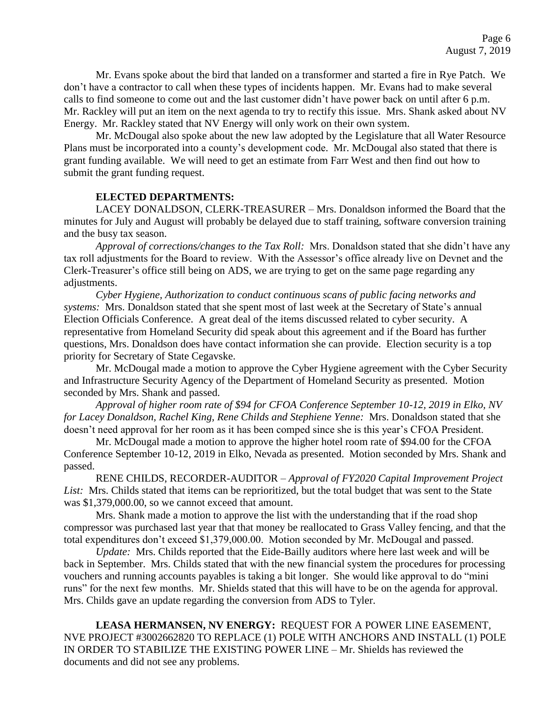Mr. Evans spoke about the bird that landed on a transformer and started a fire in Rye Patch. We don't have a contractor to call when these types of incidents happen. Mr. Evans had to make several calls to find someone to come out and the last customer didn't have power back on until after 6 p.m. Mr. Rackley will put an item on the next agenda to try to rectify this issue. Mrs. Shank asked about NV Energy. Mr. Rackley stated that NV Energy will only work on their own system.

Mr. McDougal also spoke about the new law adopted by the Legislature that all Water Resource Plans must be incorporated into a county's development code. Mr. McDougal also stated that there is grant funding available. We will need to get an estimate from Farr West and then find out how to submit the grant funding request.

#### **ELECTED DEPARTMENTS:**

LACEY DONALDSON, CLERK-TREASURER – Mrs. Donaldson informed the Board that the minutes for July and August will probably be delayed due to staff training, software conversion training and the busy tax season.

*Approval of corrections/changes to the Tax Roll:* Mrs. Donaldson stated that she didn't have any tax roll adjustments for the Board to review. With the Assessor's office already live on Devnet and the Clerk-Treasurer's office still being on ADS, we are trying to get on the same page regarding any adjustments.

*Cyber Hygiene, Authorization to conduct continuous scans of public facing networks and systems:* Mrs. Donaldson stated that she spent most of last week at the Secretary of State's annual Election Officials Conference. A great deal of the items discussed related to cyber security. A representative from Homeland Security did speak about this agreement and if the Board has further questions, Mrs. Donaldson does have contact information she can provide. Election security is a top priority for Secretary of State Cegavske.

Mr. McDougal made a motion to approve the Cyber Hygiene agreement with the Cyber Security and Infrastructure Security Agency of the Department of Homeland Security as presented. Motion seconded by Mrs. Shank and passed.

*Approval of higher room rate of \$94 for CFOA Conference September 10-12, 2019 in Elko, NV for Lacey Donaldson, Rachel King, Rene Childs and Stephiene Yenne:* Mrs. Donaldson stated that she doesn't need approval for her room as it has been comped since she is this year's CFOA President.

Mr. McDougal made a motion to approve the higher hotel room rate of \$94.00 for the CFOA Conference September 10-12, 2019 in Elko, Nevada as presented. Motion seconded by Mrs. Shank and passed.

RENE CHILDS, RECORDER-AUDITOR – *Approval of FY2020 Capital Improvement Project List:* Mrs. Childs stated that items can be reprioritized, but the total budget that was sent to the State was \$1,379,000.00, so we cannot exceed that amount.

Mrs. Shank made a motion to approve the list with the understanding that if the road shop compressor was purchased last year that that money be reallocated to Grass Valley fencing, and that the total expenditures don't exceed \$1,379,000.00. Motion seconded by Mr. McDougal and passed.

*Update:* Mrs. Childs reported that the Eide-Bailly auditors where here last week and will be back in September. Mrs. Childs stated that with the new financial system the procedures for processing vouchers and running accounts payables is taking a bit longer. She would like approval to do "mini runs" for the next few months. Mr. Shields stated that this will have to be on the agenda for approval. Mrs. Childs gave an update regarding the conversion from ADS to Tyler.

**LEASA HERMANSEN, NV ENERGY:** REQUEST FOR A POWER LINE EASEMENT, NVE PROJECT #3002662820 TO REPLACE (1) POLE WITH ANCHORS AND INSTALL (1) POLE IN ORDER TO STABILIZE THE EXISTING POWER LINE – Mr. Shields has reviewed the documents and did not see any problems.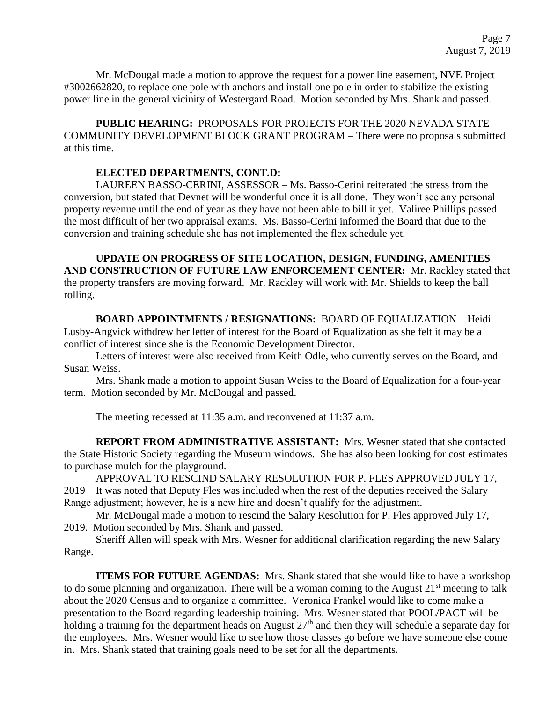Mr. McDougal made a motion to approve the request for a power line easement, NVE Project #3002662820, to replace one pole with anchors and install one pole in order to stabilize the existing power line in the general vicinity of Westergard Road. Motion seconded by Mrs. Shank and passed.

**PUBLIC HEARING:** PROPOSALS FOR PROJECTS FOR THE 2020 NEVADA STATE COMMUNITY DEVELOPMENT BLOCK GRANT PROGRAM – There were no proposals submitted at this time.

## **ELECTED DEPARTMENTS, CONT.D:**

LAUREEN BASSO-CERINI, ASSESSOR – Ms. Basso-Cerini reiterated the stress from the conversion, but stated that Devnet will be wonderful once it is all done. They won't see any personal property revenue until the end of year as they have not been able to bill it yet. Valiree Phillips passed the most difficult of her two appraisal exams. Ms. Basso-Cerini informed the Board that due to the conversion and training schedule she has not implemented the flex schedule yet.

**UPDATE ON PROGRESS OF SITE LOCATION, DESIGN, FUNDING, AMENITIES AND CONSTRUCTION OF FUTURE LAW ENFORCEMENT CENTER:** Mr. Rackley stated that the property transfers are moving forward. Mr. Rackley will work with Mr. Shields to keep the ball rolling.

**BOARD APPOINTMENTS / RESIGNATIONS:** BOARD OF EQUALIZATION – Heidi Lusby-Angvick withdrew her letter of interest for the Board of Equalization as she felt it may be a conflict of interest since she is the Economic Development Director.

Letters of interest were also received from Keith Odle, who currently serves on the Board, and Susan Weiss.

Mrs. Shank made a motion to appoint Susan Weiss to the Board of Equalization for a four-year term. Motion seconded by Mr. McDougal and passed.

The meeting recessed at 11:35 a.m. and reconvened at 11:37 a.m.

**REPORT FROM ADMINISTRATIVE ASSISTANT:** Mrs. Wesner stated that she contacted the State Historic Society regarding the Museum windows. She has also been looking for cost estimates to purchase mulch for the playground.

APPROVAL TO RESCIND SALARY RESOLUTION FOR P. FLES APPROVED JULY 17, 2019 – It was noted that Deputy Fles was included when the rest of the deputies received the Salary Range adjustment; however, he is a new hire and doesn't qualify for the adjustment.

Mr. McDougal made a motion to rescind the Salary Resolution for P. Fles approved July 17, 2019. Motion seconded by Mrs. Shank and passed.

Sheriff Allen will speak with Mrs. Wesner for additional clarification regarding the new Salary Range.

**ITEMS FOR FUTURE AGENDAS:** Mrs. Shank stated that she would like to have a workshop to do some planning and organization. There will be a woman coming to the August 21<sup>st</sup> meeting to talk about the 2020 Census and to organize a committee. Veronica Frankel would like to come make a presentation to the Board regarding leadership training. Mrs. Wesner stated that POOL/PACT will be holding a training for the department heads on August  $27<sup>th</sup>$  and then they will schedule a separate day for the employees. Mrs. Wesner would like to see how those classes go before we have someone else come in. Mrs. Shank stated that training goals need to be set for all the departments.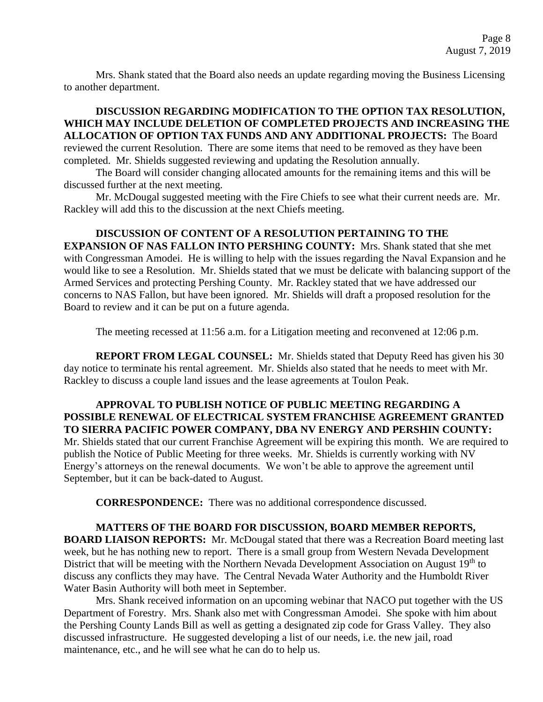Mrs. Shank stated that the Board also needs an update regarding moving the Business Licensing to another department.

**DISCUSSION REGARDING MODIFICATION TO THE OPTION TAX RESOLUTION, WHICH MAY INCLUDE DELETION OF COMPLETED PROJECTS AND INCREASING THE ALLOCATION OF OPTION TAX FUNDS AND ANY ADDITIONAL PROJECTS:** The Board reviewed the current Resolution. There are some items that need to be removed as they have been completed. Mr. Shields suggested reviewing and updating the Resolution annually.

The Board will consider changing allocated amounts for the remaining items and this will be discussed further at the next meeting.

Mr. McDougal suggested meeting with the Fire Chiefs to see what their current needs are. Mr. Rackley will add this to the discussion at the next Chiefs meeting.

**DISCUSSION OF CONTENT OF A RESOLUTION PERTAINING TO THE EXPANSION OF NAS FALLON INTO PERSHING COUNTY:** Mrs. Shank stated that she met with Congressman Amodei. He is willing to help with the issues regarding the Naval Expansion and he would like to see a Resolution. Mr. Shields stated that we must be delicate with balancing support of the Armed Services and protecting Pershing County. Mr. Rackley stated that we have addressed our concerns to NAS Fallon, but have been ignored. Mr. Shields will draft a proposed resolution for the Board to review and it can be put on a future agenda.

The meeting recessed at 11:56 a.m. for a Litigation meeting and reconvened at 12:06 p.m.

**REPORT FROM LEGAL COUNSEL:** Mr. Shields stated that Deputy Reed has given his 30 day notice to terminate his rental agreement. Mr. Shields also stated that he needs to meet with Mr. Rackley to discuss a couple land issues and the lease agreements at Toulon Peak.

**APPROVAL TO PUBLISH NOTICE OF PUBLIC MEETING REGARDING A POSSIBLE RENEWAL OF ELECTRICAL SYSTEM FRANCHISE AGREEMENT GRANTED TO SIERRA PACIFIC POWER COMPANY, DBA NV ENERGY AND PERSHIN COUNTY:**  Mr. Shields stated that our current Franchise Agreement will be expiring this month. We are required to publish the Notice of Public Meeting for three weeks. Mr. Shields is currently working with NV Energy's attorneys on the renewal documents. We won't be able to approve the agreement until September, but it can be back-dated to August.

**CORRESPONDENCE:** There was no additional correspondence discussed.

## **MATTERS OF THE BOARD FOR DISCUSSION, BOARD MEMBER REPORTS,**

**BOARD LIAISON REPORTS:** Mr. McDougal stated that there was a Recreation Board meeting last week, but he has nothing new to report. There is a small group from Western Nevada Development District that will be meeting with the Northern Nevada Development Association on August 19<sup>th</sup> to discuss any conflicts they may have. The Central Nevada Water Authority and the Humboldt River Water Basin Authority will both meet in September.

Mrs. Shank received information on an upcoming webinar that NACO put together with the US Department of Forestry. Mrs. Shank also met with Congressman Amodei. She spoke with him about the Pershing County Lands Bill as well as getting a designated zip code for Grass Valley. They also discussed infrastructure. He suggested developing a list of our needs, i.e. the new jail, road maintenance, etc., and he will see what he can do to help us.